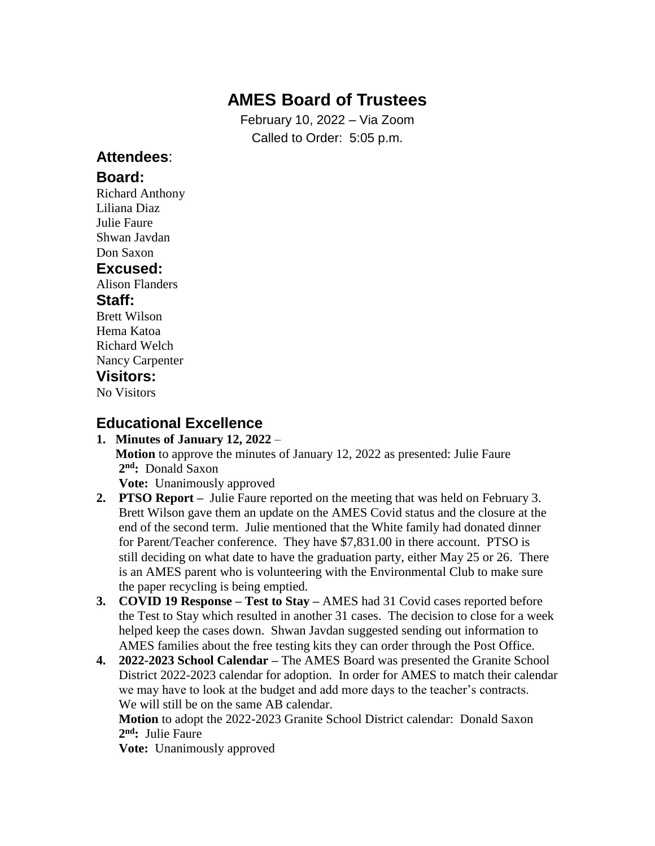# **AMES Board of Trustees**

February 10, 2022 – Via Zoom Called to Order: 5:05 p.m.

### **Attendees**:

#### **Board:**

Richard Anthony Liliana Diaz Julie Faure Shwan Javdan Don Saxon

### **Excused:**

Alison Flanders

#### **Staff:**

Brett Wilson Hema Katoa Richard Welch Nancy Carpenter

## **Visitors:**

No Visitors

### **Educational Excellence**

#### **1. Minutes of January 12, 2022** – **Motion** to approve the minutes of January 12, 2022 as presented: Julie Faure **2 nd:** Donald Saxon

**Vote:** Unanimously approved

- **2. PTSO Report –** Julie Faure reported on the meeting that was held on February 3. Brett Wilson gave them an update on the AMES Covid status and the closure at the end of the second term. Julie mentioned that the White family had donated dinner for Parent/Teacher conference. They have \$7,831.00 in there account. PTSO is still deciding on what date to have the graduation party, either May 25 or 26. There is an AMES parent who is volunteering with the Environmental Club to make sure the paper recycling is being emptied.
- **3. COVID 19 Response – Test to Stay –** AMES had 31 Covid cases reported before the Test to Stay which resulted in another 31 cases. The decision to close for a week helped keep the cases down. Shwan Javdan suggested sending out information to AMES families about the free testing kits they can order through the Post Office.
- **4. 2022-2023 School Calendar –** The AMES Board was presented the Granite School District 2022-2023 calendar for adoption. In order for AMES to match their calendar we may have to look at the budget and add more days to the teacher's contracts. We will still be on the same AB calendar.

 **Motion** to adopt the 2022-2023 Granite School District calendar: Donald Saxon **2 nd:** Julie Faure

**Vote:** Unanimously approved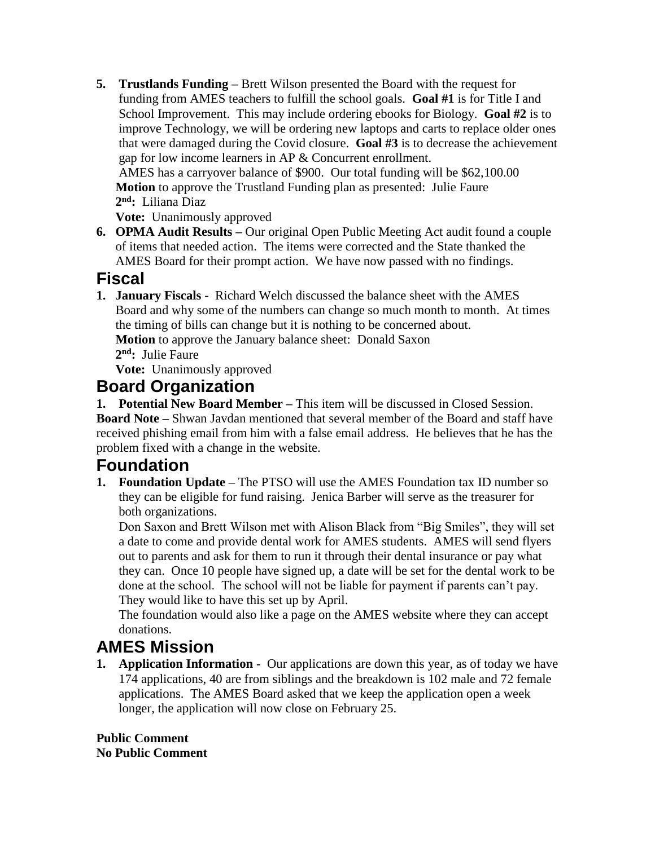**5. Trustlands Funding –** Brett Wilson presented the Board with the request for funding from AMES teachers to fulfill the school goals. **Goal #1** is for Title I and School Improvement. This may include ordering ebooks for Biology. **Goal #2** is to improve Technology, we will be ordering new laptops and carts to replace older ones that were damaged during the Covid closure. **Goal #3** is to decrease the achievement gap for low income learners in AP & Concurrent enrollment. AMES has a carryover balance of \$900. Our total funding will be \$62,100.00 **Motion** to approve the Trustland Funding plan as presented: Julie Faure

 **2 nd:** Liliana Diaz

 **Vote:** Unanimously approved

**6. OPMA Audit Results –** Our original Open Public Meeting Act audit found a couple of items that needed action. The items were corrected and the State thanked the AMES Board for their prompt action. We have now passed with no findings.

## **Fiscal**

**1. January Fiscals -** Richard Welch discussed the balance sheet with the AMES Board and why some of the numbers can change so much month to month. At times the timing of bills can change but it is nothing to be concerned about. **Motion** to approve the January balance sheet: Donald Saxon **2 nd:** Julie Faure

**Vote:** Unanimously approved

## **Board Organization**

**1. Potential New Board Member –** This item will be discussed in Closed Session. **Board Note –** Shwan Javdan mentioned that several member of the Board and staff have received phishing email from him with a false email address. He believes that he has the problem fixed with a change in the website.

# **Foundation**

**1. Foundation Update –** The PTSO will use the AMES Foundation tax ID number so they can be eligible for fund raising. Jenica Barber will serve as the treasurer for both organizations.

 Don Saxon and Brett Wilson met with Alison Black from "Big Smiles", they will set a date to come and provide dental work for AMES students. AMES will send flyers out to parents and ask for them to run it through their dental insurance or pay what they can. Once 10 people have signed up, a date will be set for the dental work to be done at the school. The school will not be liable for payment if parents can't pay. They would like to have this set up by April.

 The foundation would also like a page on the AMES website where they can accept donations.

# **AMES Mission**

**1. Application Information -** Our applications are down this year, as of today we have 174 applications, 40 are from siblings and the breakdown is 102 male and 72 female applications. The AMES Board asked that we keep the application open a week longer, the application will now close on February 25.

**Public Comment No Public Comment**